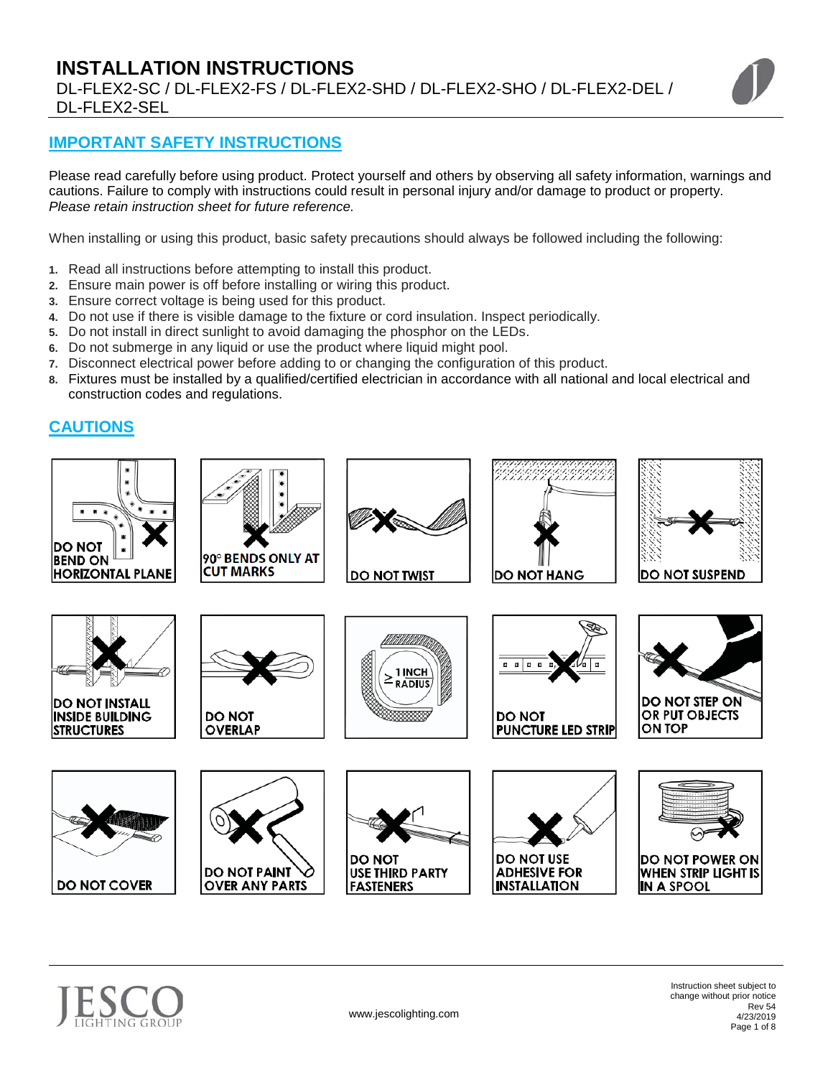# **INSTALLATION INSTRUCTIONS**  DL-FLEX2-SC / DL-FLEX2-FS / DL-FLEX2-SHD / DL-FLEX2-SHO / DL-FLEX2-DEL / DL-FLEX2-SEL



# **IMPORTANT SAFETY INSTRUCTIONS**

Please read carefully before using product. Protect yourself and others by observing all safety information, warnings and cautions. Failure to comply with instructions could result in personal injury and/or damage to product or property. *Please retain instruction sheet for future reference.*

When installing or using this product, basic safety precautions should always be followed including the following:

- **1.** Read all instructions before attempting to install this product.
- **2.** Ensure main power is off before installing or wiring this product.
- **3.** Ensure correct voltage is being used for this product.
- **4.** Do not use if there is visible damage to the fixture or cord insulation. Inspect periodically.
- **5.** Do not install in direct sunlight to avoid damaging the phosphor on the LEDs.
- **6.** Do not submerge in any liquid or use the product where liquid might pool.
- **7.** Disconnect electrical power before adding to or changing the configuration of this product.
- **8.** Fixtures must be installed by a qualified/certified electrician in accordance with all national and local electrical and construction codes and regulations.

# **CAUTIONS**





Instruction sheet subject to change without prior notice Rev 54 4/23/2019 Page 1 of 8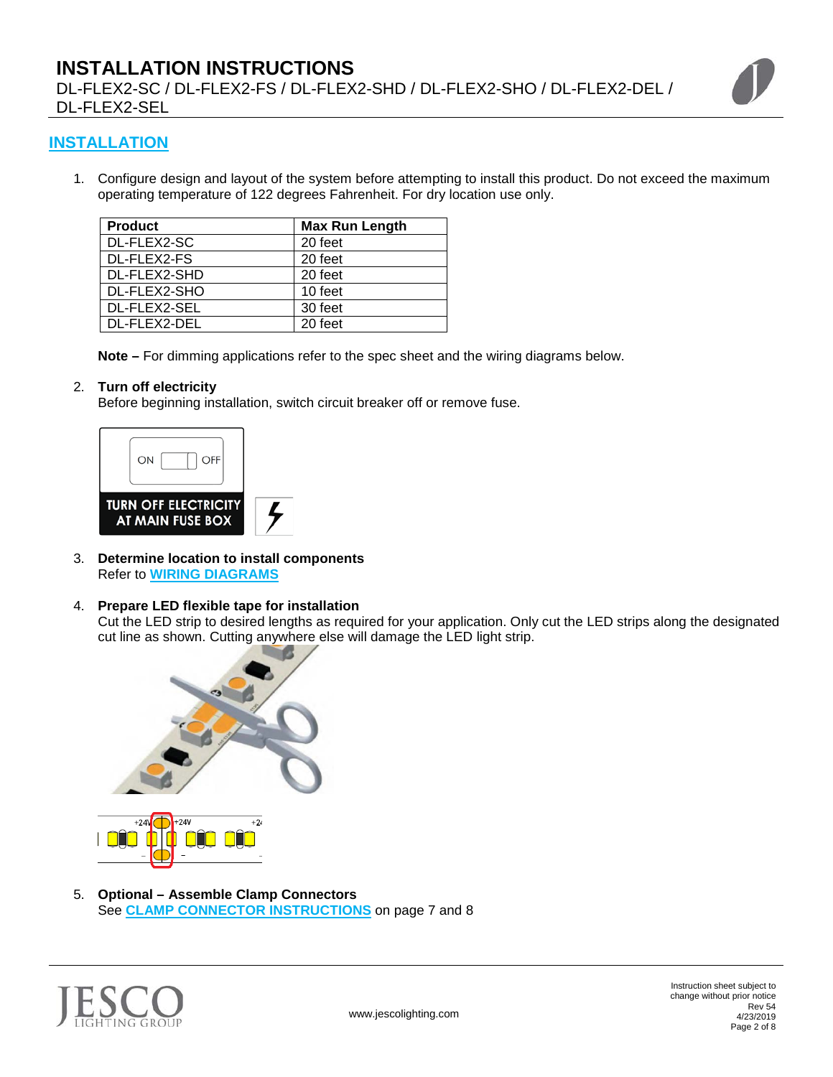# **INSTALLATION INSTRUCTIONS**  DL-FLEX2-SC / DL-FLEX2-FS / DL-FLEX2-SHD / DL-FLEX2-SHO / DL-FLEX2-DEL / DL-FLEX2-SEL



## **INSTALLATION**

1. Configure design and layout of the system before attempting to install this product. Do not exceed the maximum operating temperature of 122 degrees Fahrenheit. For dry location use only.

| <b>Product</b> | <b>Max Run Length</b> |
|----------------|-----------------------|
| DL-FLEX2-SC    | 20 feet               |
| DL-FLEX2-FS    | 20 feet               |
| DL-FLEX2-SHD   | 20 feet               |
| DL-FLEX2-SHO   | 10 feet               |
| DL-FLEX2-SEL   | 30 feet               |
| DL-FLEX2-DEL   | 20 feet               |

**Note –** For dimming applications refer to the spec sheet and the wiring diagrams below.

#### 2. **Turn off electricity**

Before beginning installation, switch circuit breaker off or remove fuse.



3. **Determine location to install components** Refer to **WIRING DIAGRAMS**

#### 4. **Prepare LED flexible tape for installation**

Cut the LED strip to desired lengths as required for your application. Only cut the LED strips along the designated cut line as shown. Cutting anywhere else will damage the LED light strip.



5. **Optional – Assemble Clamp Connectors** See **CLAMP CONNECTOR INSTRUCTIONS** on page 7 and 8

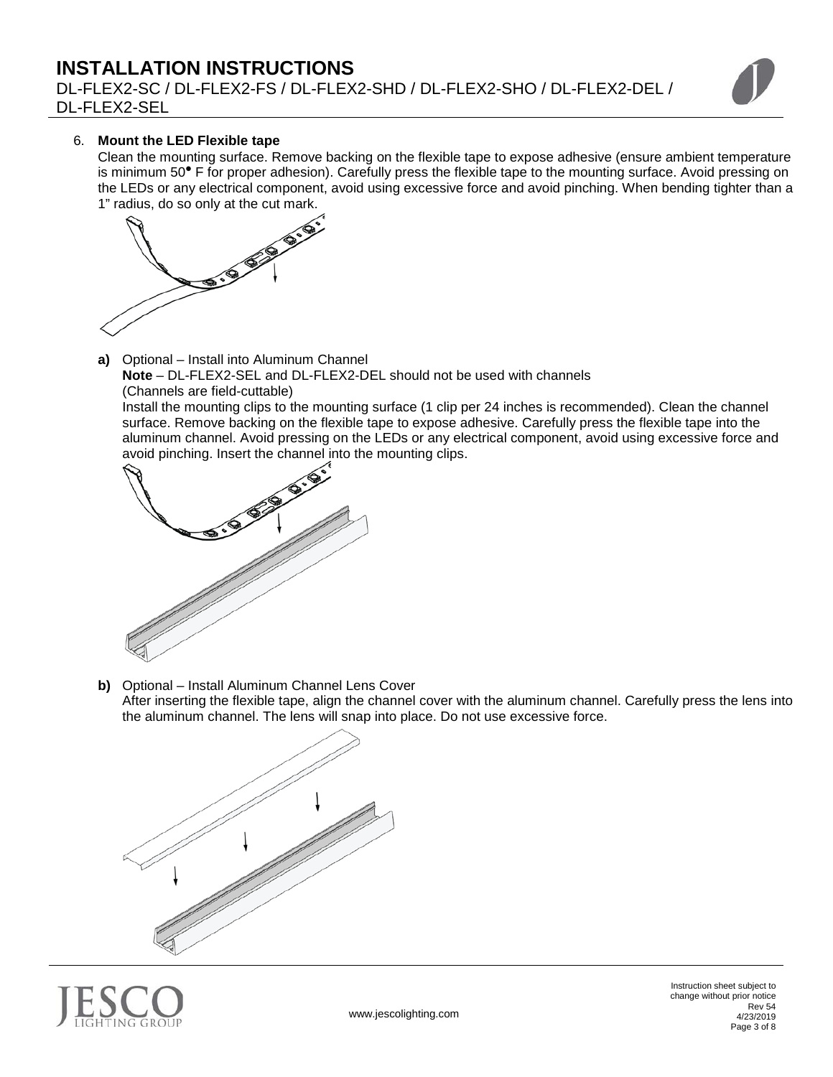DL-FLEX2-SC / DL-FLEX2-FS / DL-FLEX2-SHD / DL-FLEX2-SHO / DL-FLEX2-DEL / DL-FLEX2-SEL



## 6. **Mount the LED Flexible tape**

Clean the mounting surface. Remove backing on the flexible tape to expose adhesive (ensure ambient temperature is minimum 50<sup>°</sup> F for proper adhesion). Carefully press the flexible tape to the mounting surface. Avoid pressing on the LEDs or any electrical component, avoid using excessive force and avoid pinching. When bending tighter than a 1" radius, do so only at the cut mark.



**a)** Optional – Install into Aluminum Channel **Note** – DL-FLEX2-SEL and DL-FLEX2-DEL should not be used with channels (Channels are field-cuttable)

Install the mounting clips to the mounting surface (1 clip per 24 inches is recommended). Clean the channel surface. Remove backing on the flexible tape to expose adhesive. Carefully press the flexible tape into the aluminum channel. Avoid pressing on the LEDs or any electrical component, avoid using excessive force and avoid pinching. Insert the channel into the mounting clips.



**b)** Optional – Install Aluminum Channel Lens Cover After inserting the flexible tape, align the channel cover with the aluminum channel. Carefully press the lens into the aluminum channel. The lens will snap into place. Do not use excessive force.



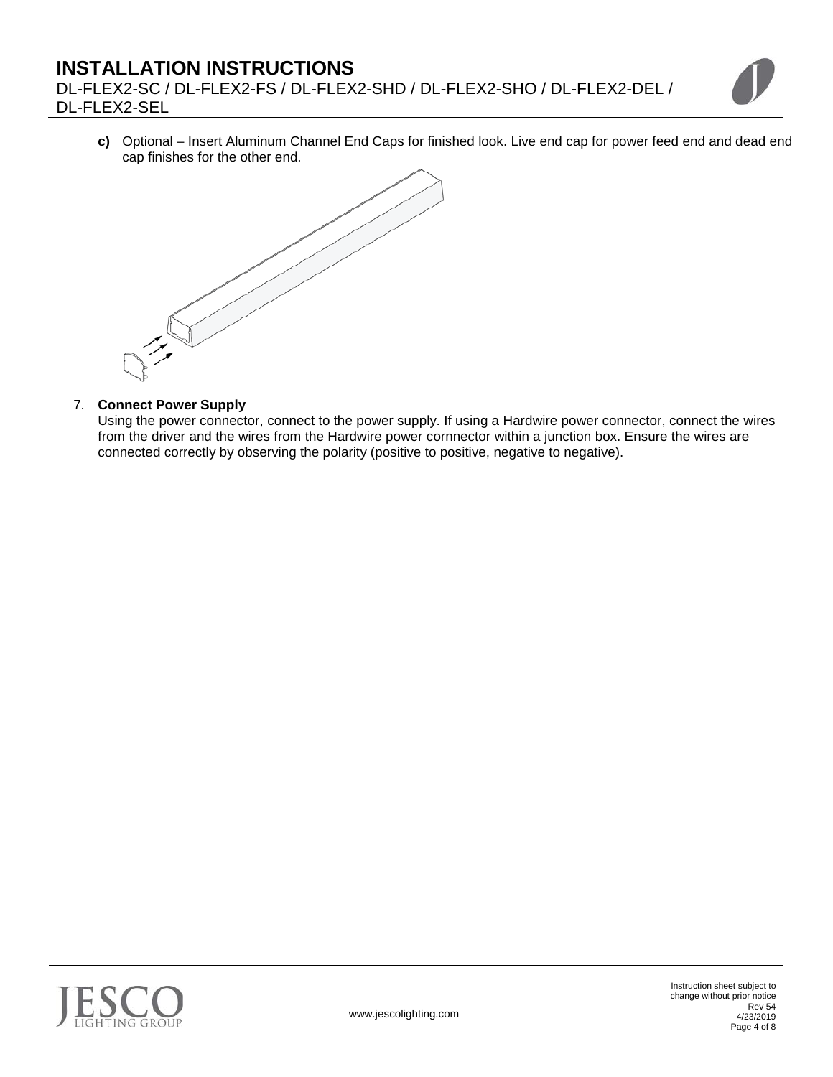DL-FLEX2-SC / DL-FLEX2-FS / DL-FLEX2-SHD / DL-FLEX2-SHO / DL-FLEX2-DEL / DL-FLEX2-SEL

**c)** Optional – Insert Aluminum Channel End Caps for finished look. Live end cap for power feed end and dead end cap finishes for the other end.



## 7. **Connect Power Supply**

Using the power connector, connect to the power supply. If using a Hardwire power connector, connect the wires from the driver and the wires from the Hardwire power cornnector within a junction box. Ensure the wires are connected correctly by observing the polarity (positive to positive, negative to negative).

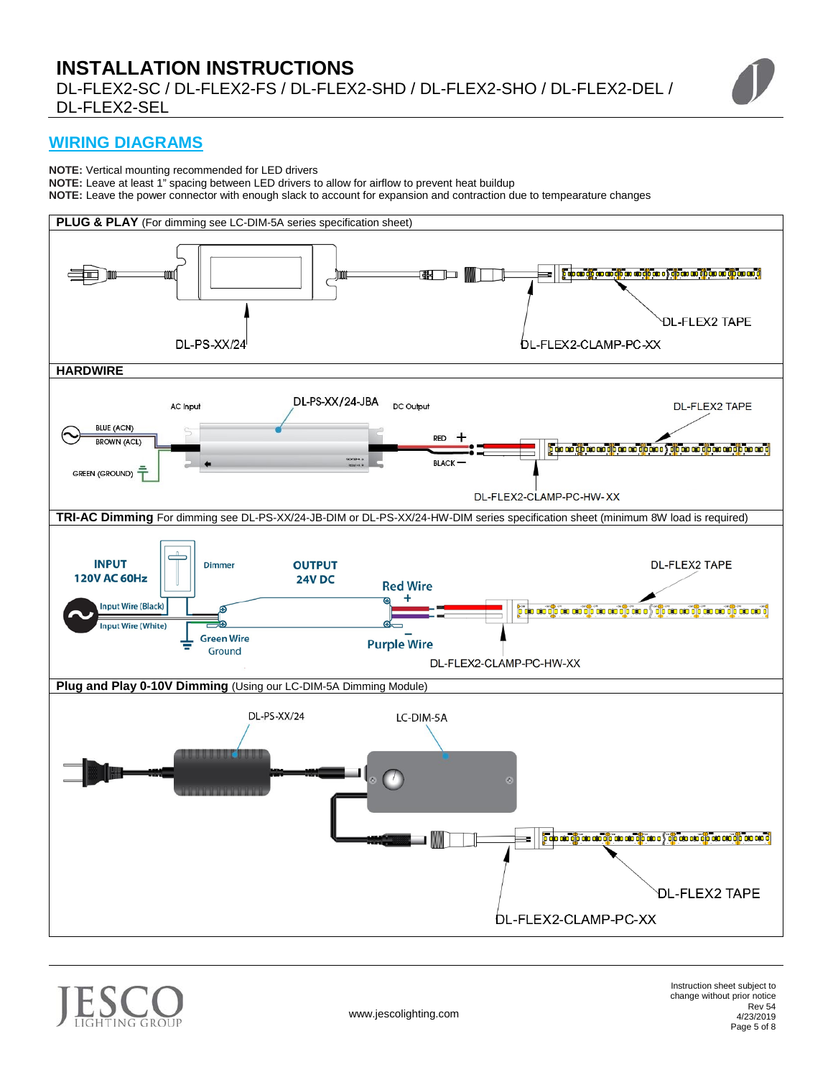## **WIRING DIAGRAMS**

**NOTE:** Vertical mounting recommended for LED drivers

**NOTE:** Leave at least 1" spacing between LED drivers to allow for airflow to prevent heat buildup

**NOTE:** Leave the power connector with enough slack to account for expansion and contraction due to tempearature changes



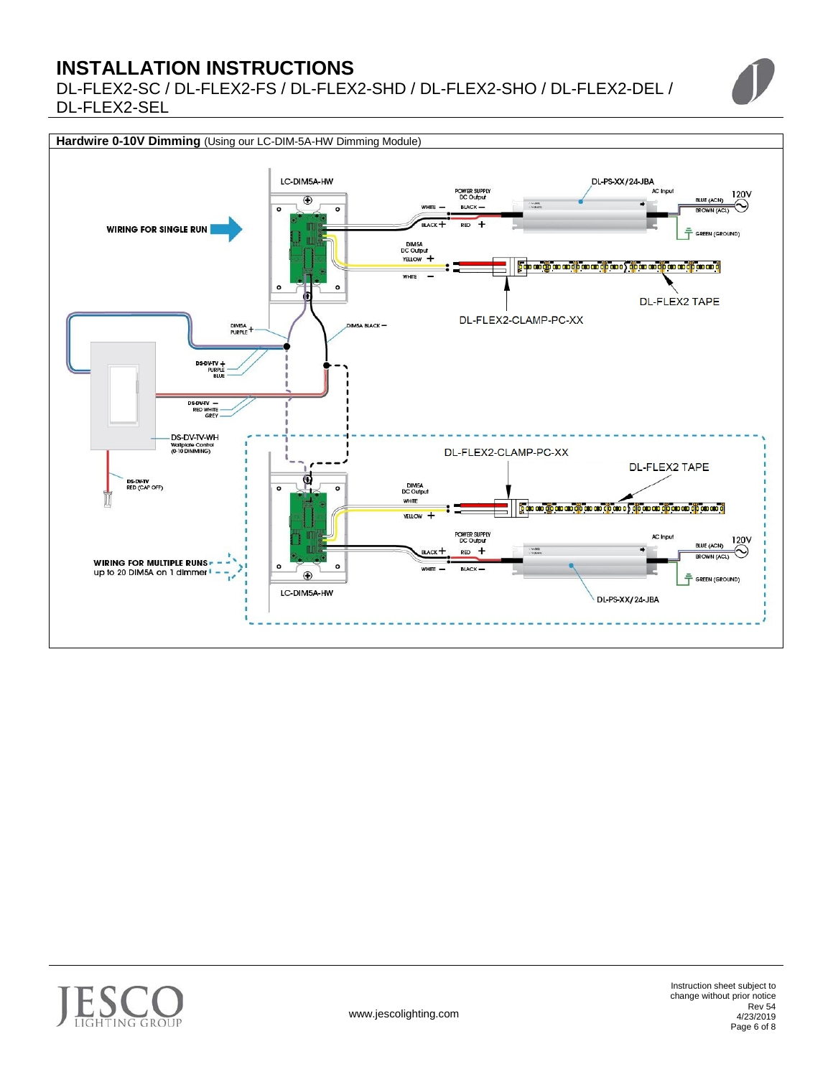DL-FLEX2-SC / DL-FLEX2-FS / DL-FLEX2-SHD / DL-FLEX2-SHO / DL-FLEX2-DEL / DL-FLEX2-SEL



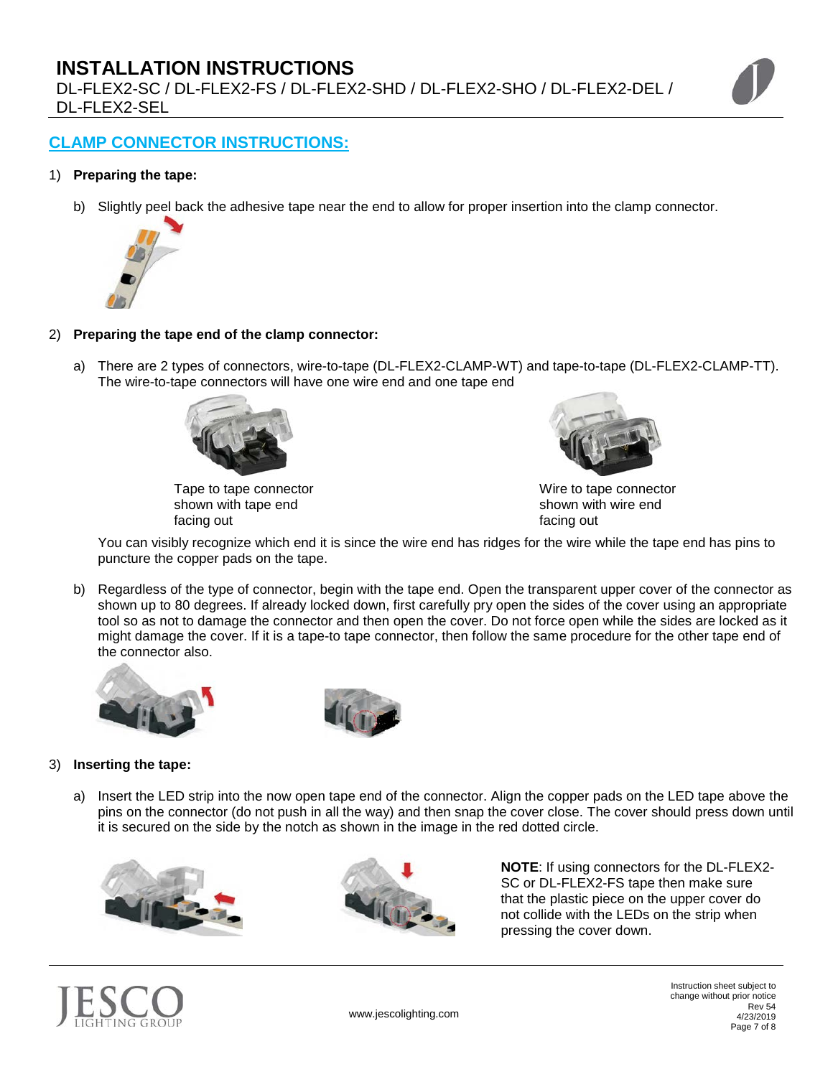DL-FLEX2-SC / DL-FLEX2-FS / DL-FLEX2-SHD / DL-FLEX2-SHO / DL-FLEX2-DEL / DL-FLEX2-SEL

## **CLAMP CONNECTOR INSTRUCTIONS:**

## 1) **Preparing the tape:**

b) Slightly peel back the adhesive tape near the end to allow for proper insertion into the clamp connector.



#### 2) **Preparing the tape end of the clamp connector:**

a) There are 2 types of connectors, wire-to-tape (DL-FLEX2-CLAMP-WT) and tape-to-tape (DL-FLEX2-CLAMP-TT). The wire-to-tape connectors will have one wire end and one tape end



Tape to tape connector shown with tape end facing out



Wire to tape connector shown with wire end facing out

 You can visibly recognize which end it is since the wire end has ridges for the wire while the tape end has pins to puncture the copper pads on the tape.

b) Regardless of the type of connector, begin with the tape end. Open the transparent upper cover of the connector as shown up to 80 degrees. If already locked down, first carefully pry open the sides of the cover using an appropriate tool so as not to damage the connector and then open the cover. Do not force open while the sides are locked as it might damage the cover. If it is a tape-to tape connector, then follow the same procedure for the other tape end of the connector also.





#### 3) **Inserting the tape:**

a) Insert the LED strip into the now open tape end of the connector. Align the copper pads on the LED tape above the pins on the connector (do not push in all the way) and then snap the cover close. The cover should press down until it is secured on the side by the notch as shown in the image in the red dotted circle.





**NOTE**: If using connectors for the DL-FLEX2- SC or DL-FLEX2-FS tape then make sure that the plastic piece on the upper cover do not collide with the LEDs on the strip when pressing the cover down.



Instruction sheet subject to change without prior notice Rev 54 4/23/2019 Page 7 of 8